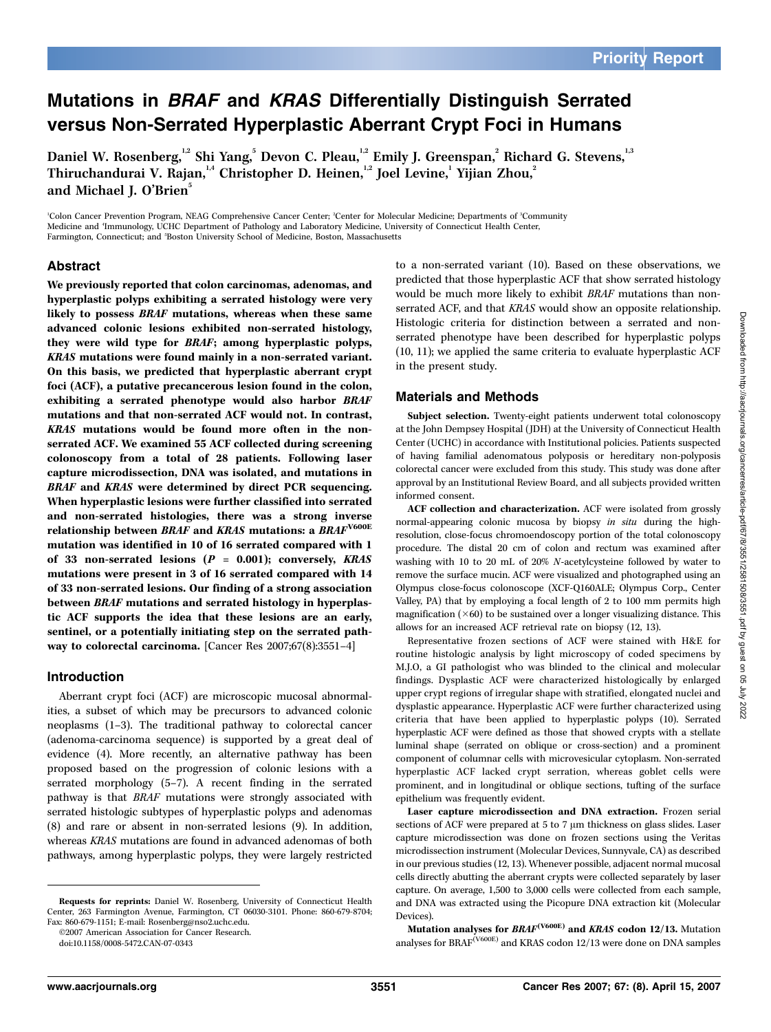# Mutations in BRAF and KRAS Differentially Distinguish Serrated versus Non-Serrated Hyperplastic Aberrant Crypt Foci in Humans

Daniel W. Rosenberg,"2 Shi Yang,<sup>5</sup> Devon C. Pleau,"2 Emily J. Greenspan,<sup>2</sup> Richard G. Stevens,"3 Thiruchandurai V. Rajan, 14 Christopher D. Heinen, 12 Joel Levine, 1 Yijian Zhou, 2 and Michael J. O'Brien<sup>5</sup>

<sup>1</sup>Colon Cancer Prevention Program, NEAG Comprehensive Cancer Center; <sup>2</sup>Center for Molecular Medicine; Departments of <sup>3</sup>Community Medicine and 'Immunology, UCHC Department of Pathology and Laboratory Medicine, University of Connecticut Health Center, Farmington, Connecticut; and <sup>5</sup>Boston University School of Medicine, Boston, Massachusetts

## Abstract

We previously reported that colon carcinomas, adenomas, and hyperplastic polyps exhibiting a serrated histology were very likely to possess BRAF mutations, whereas when these same advanced colonic lesions exhibited non-serrated histology, they were wild type for BRAF; among hyperplastic polyps, KRAS mutations were found mainly in a non-serrated variant. On this basis, we predicted that hyperplastic aberrant crypt foci (ACF), a putative precancerous lesion found in the colon, exhibiting a serrated phenotype would also harbor BRAF mutations and that non-serrated ACF would not. In contrast, KRAS mutations would be found more often in the nonserrated ACF. We examined 55 ACF collected during screening colonoscopy from a total of 28 patients. Following laser capture microdissection, DNA was isolated, and mutations in BRAF and KRAS were determined by direct PCR sequencing. When hyperplastic lesions were further classified into serrated and non-serrated histologies, there was a strong inverse relationship between BRAF and KRAS mutations: a BRAF<sup>V600E</sup> mutation was identified in 10 of 16 serrated compared with 1 of 33 non-serrated lesions  $(P = 0.001)$ ; conversely, KRAS mutations were present in 3 of 16 serrated compared with 14 of 33 non-serrated lesions. Our finding of a strong association between BRAF mutations and serrated histology in hyperplastic ACF supports the idea that these lesions are an early, sentinel, or a potentially initiating step on the serrated pathway to colorectal carcinoma. [Cancer Res 2007;67(8):3551–4]

## Introduction

Aberrant crypt foci (ACF) are microscopic mucosal abnormalities, a subset of which may be precursors to advanced colonic neoplasms  $(1-3)$ . The traditional pathway to colorectal cancer (adenoma-carcinoma sequence) is supported bya great deal of evidence (4). More recently, an alternative pathway has been proposed based on the progression of colonic lesions with a serrated morphology(5–7). A recent finding in the serrated pathway is that BRAF mutations were strongly associated with serrated histologic subtypes of hyperplastic polyps and adenomas (8) and rare or absent in non-serrated lesions (9). In addition, whereas KRAS mutations are found in advanced adenomas of both pathways, among hyperplastic polyps, they were largely restricted

©2007 American Association for Cancer Research.

to a non-serrated variant (10). Based on these observations, we predicted that those hyperplastic ACF that show serrated histology would be much more likely to exhibit BRAF mutations than nonserrated ACF, and that KRAS would show an opposite relationship. Histologic criteria for distinction between a serrated and nonserrated phenotype have been described for hyperplastic polyps (10, 11); we applied the same criteria to evaluate hyperplastic ACF in the present study.

## Materials and Methods

Subject selection. Twenty-eight patients underwent total colonoscopy at the John Dempsey Hospital (JDH) at the University of Connecticut Health Center (UCHC) in accordance with Institutional policies. Patients suspected of having familial adenomatous polyposis or hereditary non-polyposis colorectal cancer were excluded from this study. This study was done after approval byan Institutional Review Board, and all subjects provided written informed consent.

ACF collection and characterization. ACF were isolated from grossly normal-appearing colonic mucosa by biopsy in situ during the highresolution, close-focus chromoendoscopy portion of the total colonoscopy procedure. The distal 20 cm of colon and rectum was examined after washing with 10 to 20 mL of 20% N-acetylcysteine followed by water to remove the surface mucin. ACF were visualized and photographed using an Olympus close-focus colonoscope (XCF-Q160ALE; Olympus Corp., Center Valley, PA) that by employing a focal length of 2 to 100 mm permits high magnification  $(\times 60)$  to be sustained over a longer visualizing distance. This allows for an increased ACF retrieval rate on biopsy(12, 13).

Representative frozen sections of ACF were stained with H&E for routine histologic analysis by light microscopy of coded specimens by M.J.O, a GI pathologist who was blinded to the clinical and molecular findings. Dysplastic ACF were characterized histologically by enlarged upper crypt regions of irregular shape with stratified, elongated nuclei and dysplastic appearance. Hyperplastic ACF were further characterized using criteria that have been applied to hyperplastic polyps (10). Serrated hyperplastic ACF were defined as those that showed crypts with a stellate luminal shape (serrated on oblique or cross-section) and a prominent component of columnar cells with microvesicular cytoplasm. Non-serrated hyperplastic ACF lacked crypt serration, whereas goblet cells were prominent, and in longitudinal or oblique sections, tufting of the surface epithelium was frequently evident.

Laser capture microdissection and DNA extraction. Frozen serial sections of ACF were prepared at 5 to 7  $\mu$ m thickness on glass slides. Laser capture microdissection was done on frozen sections using the Veritas microdissection instrument (Molecular Devices, Sunnyvale, CA) as described in our previous studies (12, 13). Whenever possible, adjacent normal mucosal cells directly abutting the aberrant crypts were collected separately by laser capture. On average, 1,500 to 3,000 cells were collected from each sample, and DNA was extracted using the Picopure DNA extraction kit (Molecular Devices).

Requests for reprints: Daniel W. Rosenberg, Universityof Connecticut Health Center, 263 Farmington Avenue, Farmington, CT 06030-3101. Phone: 860-679-8704; Fax: 860-679-1151; E-mail: Rosenberg@nso2.uchc.edu.

doi:10.1158/0008-5472.CAN-07-0343

Mutation analyses for  $\mathit{BRAF}^{\mathrm{(V600E)}}$  and  $\mathit{KRAS}$  codon 12/13. Mutation analyses for BRAF<sup>(V600E)</sup> and KRAS codon 12/13 were done on DNA samples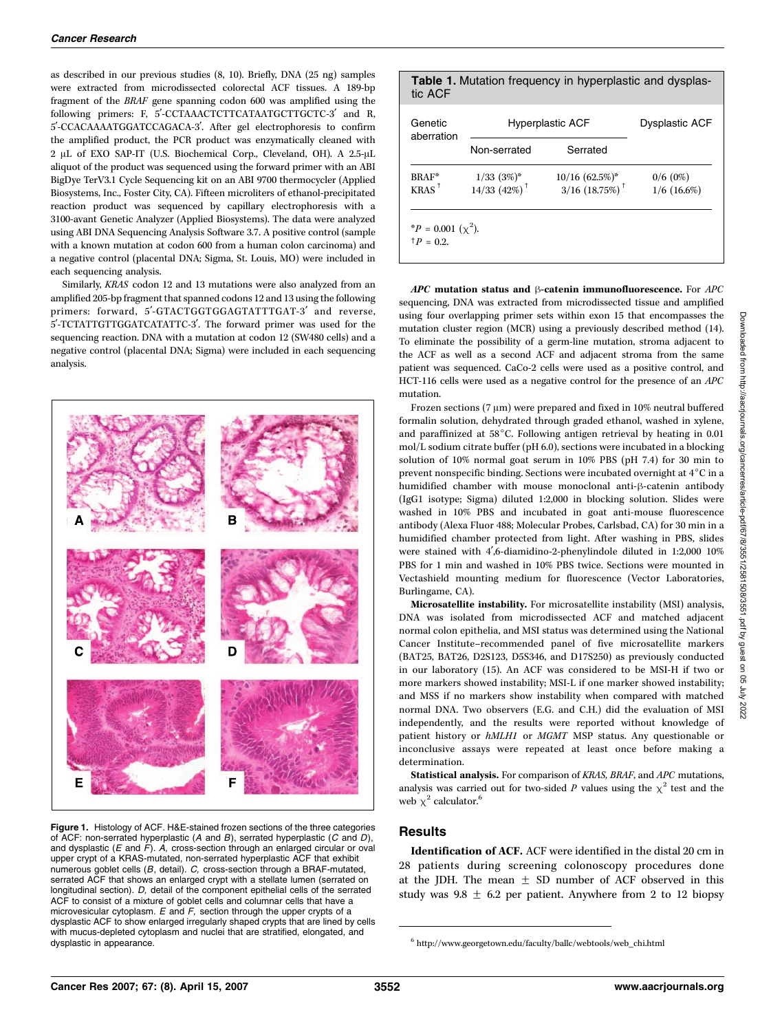as described in our previous studies (8, 10). Briefly, DNA (25 ng) samples were extracted from microdissected colorectal ACF tissues. A 189-bp fragment of the BRAF gene spanning codon 600 was amplified using the following primers: F, 5'-CCTAAACTCTTCATAATGCTTGCTC-3' and R, 5¶-CCACAAAATGGATCCAGACA-3¶. After gel electrophoresis to confirm the amplified product, the PCR product was enzymatically cleaned with 2 µL of EXO SAP-IT (U.S. Biochemical Corp., Cleveland, OH). A 2.5-µL aliquot of the product was sequenced using the forward primer with an ABI BigDye TerV3.1 Cycle Sequencing kit on an ABI 9700 thermocycler (Applied Biosystems, Inc., Foster City, CA). Fifteen microliters of ethanol-precipitated reaction product was sequenced by capillary electrophoresis with a 3100-avant Genetic Analyzer (Applied Biosystems). The data were analyzed using ABI DNA Sequencing Analysis Software 3.7. A positive control (sample with a known mutation at codon 600 from a human colon carcinoma) and a negative control (placental DNA; Sigma, St. Louis, MO) were included in each sequencing analysis.

Similarly, KRAS codon 12 and 13 mutations were also analyzed from an amplified 205-bp fragment that spanned codons 12 and 13 using the following primers: forward, 5'-GTACTGGTGGAGTATTTGAT-3' and reverse, 5¶-TCTATTGTTGGATCATATTC-3¶. The forward primer was used for the sequencing reaction. DNA with a mutation at codon 12 (SW480 cells) and a negative control (placental DNA; Sigma) were included in each sequencing analysis.



Figure 1. Histology of ACF. H&E-stained frozen sections of the three categories of ACF: non-serrated hyperplastic (A and B), serrated hyperplastic (C and D), and dysplastic ( $E$  and  $F$ ). A, cross-section through an enlarged circular or oval upper crypt of a KRAS-mutated, non-serrated hyperplastic ACF that exhibit numerous goblet cells (B, detail). C, cross-section through a BRAF-mutated, serrated ACF that shows an enlarged crypt with a stellate lumen (serrated on longitudinal section). D, detail of the component epithelial cells of the serrated ACF to consist of a mixture of goblet cells and columnar cells that have a microvesicular cytoplasm.  $E$  and  $F$ , section through the upper crypts of a dysplastic ACF to show enlarged irregularly shaped crypts that are lined by cells with mucus-depleted cytoplasm and nuclei that are stratified, elongated, and dysplastic in appearance.

# Table 1. Mutation frequency in hyperplastic and dysplastic ACF Genetic aberration Hyperplastic ACF Dysplastic ACF Non-serrated Serrated BRAF\*  $1/33$   $(3\%)^*$   $10/16$   $(62.5\%)^*$   $0/6$   $(0\%)$ KRAS<sup>†</sup> 14/33 (42%)<sup>†</sup> 3/16 (18.75%)<sup>†</sup> 1/6 (16.6%)

\* $P = 0.001 \; (\chi^2)$ .  $^{\dagger}P = 0.2.$ 

 $APC$  mutation status and  $\beta$ -catenin immunofluorescence. For  $APC$ sequencing, DNA was extracted from microdissected tissue and amplified using four overlapping primer sets within exon 15 that encompasses the mutation cluster region (MCR) using a previously described method (14). To eliminate the possibility of a germ-line mutation, stroma adjacent to the ACF as well as a second ACF and adjacent stroma from the same patient was sequenced. CaCo-2 cells were used as a positive control, and HCT-116 cells were used as a negative control for the presence of an APC mutation.

Frozen sections (7  $\mu$ m) were prepared and fixed in 10% neutral buffered formalin solution, dehydrated through graded ethanol, washed in xylene, and paraffinized at  $58^{\circ}$ C. Following antigen retrieval by heating in 0.01 mol/L sodium citrate buffer (pH 6.0), sections were incubated in a blocking solution of 10% normal goat serum in 10% PBS (pH 7.4) for 30 min to prevent nonspecific binding. Sections were incubated overnight at  $4^{\circ}$ C in a humidified chamber with mouse monoclonal anti- $\beta$ -catenin antibody (IgG1 isotype; Sigma) diluted 1:2,000 in blocking solution. Slides were washed in 10% PBS and incubated in goat anti-mouse fluorescence antibody(Alexa Fluor 488; Molecular Probes, Carlsbad, CA) for 30 min in a humidified chamber protected from light. After washing in PBS, slides were stained with 4',6-diamidino-2-phenylindole diluted in 1:2,000 10% PBS for 1 min and washed in 10% PBS twice. Sections were mounted in Vectashield mounting medium for fluorescence (Vector Laboratories, Burlingame, CA).

Microsatellite instability. For microsatellite instability (MSI) analysis, DNA was isolated from microdissected ACF and matched adjacent normal colon epithelia, and MSI status was determined using the National Cancer Institute–recommended panel of five microsatellite markers (BAT25, BAT26, D2S123, D5S346, and D17S250) as previously conducted in our laboratory(15). An ACF was considered to be MSI-H if two or more markers showed instability; MSI-L if one marker showed instability; and MSS if no markers show instabilitywhen compared with matched normal DNA. Two observers (E.G. and C.H.) did the evaluation of MSI independently, and the results were reported without knowledge of patient history or hMLH1 or MGMT MSP status. Any questionable or inconclusive assays were repeated at least once before making a determination.

Statistical analysis. For comparison of KRAS, BRAF, and APC mutations, analysis was carried out for two-sided P values using the  $\chi^2$  test and the web  $\chi^2$  calculator.<sup>6</sup>

## **Results**

Identification of ACF. ACF were identified in the distal 20 cm in 28 patients during screening colonoscopy procedures done at the JDH. The mean  $\pm$  SD number of ACF observed in this study was  $9.8 \pm 6.2$  per patient. Anywhere from 2 to 12 biopsy

 $6$  http://www.georgetown.edu/faculty/ballc/webtools/web\_chi.html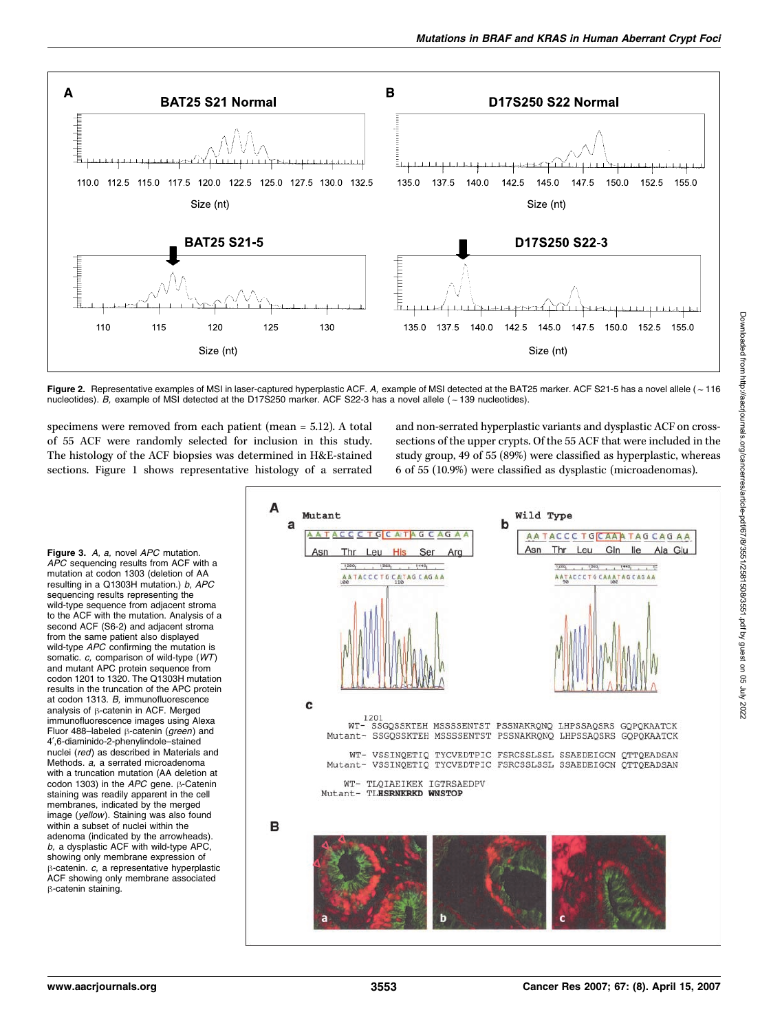

Figure 2. Representative examples of MSI in laser-captured hyperplastic ACF. A, example of MSI detected at the BAT25 marker. ACF S21-5 has a novel allele ( $\sim$  116 nucleotides). B, example of MSI detected at the D17S250 marker. ACF S22-3 has a novel allele ( $\sim$  139 nucleotides).

specimens were removed from each patient (mean = 5.12). A total of 55 ACF were randomly selected for inclusion in this study. The histology of the ACF biopsies was determined in H&E-stained sections. Figure 1 shows representative histology of a serrated

and non-serrated hyperplastic variants and dysplastic ACF on crosssections of the upper crypts. Of the 55 ACF that were included in the studygroup, 49 of 55 (89%) were classified as hyperplastic, whereas 6 of 55 (10.9%) were classified as dysplastic (microadenomas).



Figure 3. A, a, novel APC mutation. APC sequencing results from ACF with a mutation at codon 1303 (deletion of AA resulting in a Q1303H mutation.) b, APC sequencing results representing the wild-type sequence from adjacent stroma to the ACF with the mutation. Analysis of a second ACF (S6-2) and adjacent stroma from the same patient also displayed wild-type APC confirming the mutation is somatic. c. comparison of wild-type (WT) and mutant APC protein sequence from codon 1201 to 1320. The Q1303H mutation results in the truncation of the APC protein at codon 1313. B, immunofluorescence analysis of  $\beta$ -catenin in ACF. Merged immunofluorescence images using Alexa Fluor 488-labeled  $\beta$ -catenin (green) and 4¶,6-diaminido-2-phenylindole–stained nuclei (red) as described in Materials and Methods. a, a serrated microadenoma with a truncation mutation (AA deletion at codon 1303) in the  $APC$  gene.  $\beta$ -Catenin staining was readily apparent in the cell membranes, indicated by the merged image (yellow). Staining was also found within a subset of nuclei within the adenoma (indicated by the arrowheads).  $b$ , a dysplastic ACF with wild-type APC, showing only membrane expression of  $\beta$ -catenin. c, a representative hyperplastic ACF showing only membrane associated  $\beta$ -catenin staining.